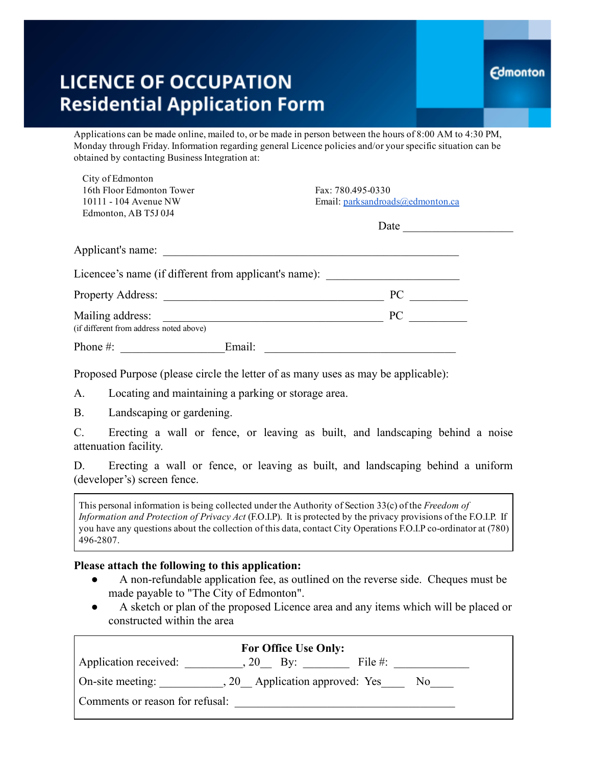# **LICENCE OF OCCUPATION Residential Application Form**

Applications can be made online, mailed to, or be made in person between the hours of 8:00 AM to 4:30 PM, Monday through Friday. Information regarding general Licence policies and/or yourspecific situation can be obtained by contacting Business Integration at:

| Fax: 780.495-0330                                     |
|-------------------------------------------------------|
| Email: parksandroads@edmonton.ca                      |
|                                                       |
| Date                                                  |
| Applicant's name:                                     |
| Licencee's name (if different from applicant's name): |
| PC                                                    |
| PC                                                    |
|                                                       |
|                                                       |
|                                                       |

Proposed Purpose (please circle the letter of as many uses as may be applicable):

A. Locating and maintaining a parking or storage area.

B. Landscaping or gardening.

C. Erecting a wall or fence, or leaving as built, and landscaping behind a noise attenuation facility.

D. Erecting a wall or fence, or leaving as built, and landscaping behind a uniform (developer's) screen fence.

This personal information is being collected under the Authority of Section 33(c) of the *Freedom of Information and Protection of Privacy Act* (F.O.I.P). It is protected by the privacy provisions of the F.O.I.P. If you have any questions about the collection of this data, contact City Operations F.O.I.P co-ordinator at (780) 4962807.

#### Please attach the following to this application:

- A non-refundable application fee, as outlined on the reverse side. Cheques must be made payable to "The City of Edmonton".
- A sketch or plan of the proposed Licence area and any items which will be placed or constructed within the area

| <b>For Office Use Only:</b>                                |                  |            |  |  |  |
|------------------------------------------------------------|------------------|------------|--|--|--|
| Application received:                                      | $20 \text{ By:}$ | File $#$ : |  |  |  |
| Application approved: Yes<br>On-site meeting:<br>.20<br>N0 |                  |            |  |  |  |
| Comments or reason for refusal:                            |                  |            |  |  |  |
|                                                            |                  |            |  |  |  |

### **Edmonton**